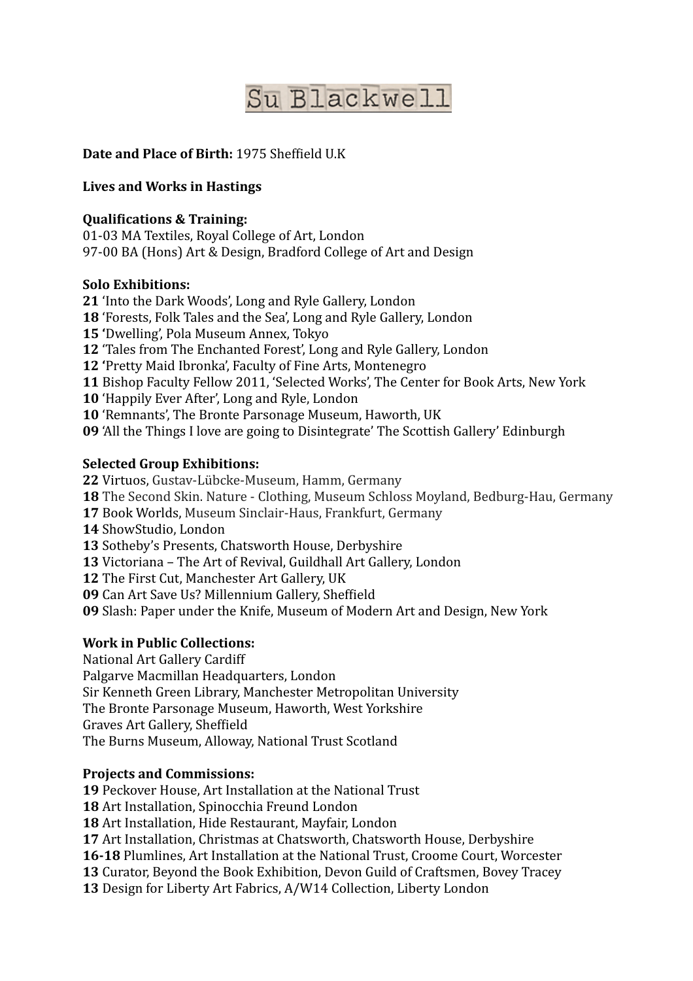# Su Blackwell

## **Date and Place of Birth:** 1975 Sheffield U.K

## **Lives and Works in Hastings**

### **Qualifications & Training:**

01-03 MA Textiles, Royal College of Art, London 97-00 BA (Hons) Art & Design, Bradford College of Art and Design

#### **Solo Exhibitions:**

**21** 'Into the Dark Woods', Long and Ryle Gallery, London

**18** 'Forests, Folk Tales and the Sea', Long and Ryle Gallery, London

**15** 'Dwelling', Pola Museum Annex, Tokyo

**12** 'Tales from The Enchanted Forest', Long and Ryle Gallery, London

**12** 'Pretty Maid Ibronka', Faculty of Fine Arts, Montenegro

**11** Bishop Faculty Fellow 2011, 'Selected Works', The Center for Book Arts, New York

**10** 'Happily Ever After', Long and Ryle, London

**10** 'Remnants', The Bronte Parsonage Museum, Haworth, UK

**09** 'All the Things I love are going to Disintegrate' The Scottish Gallery' Edinburgh

#### **Selected Group Exhibitions:**

22 Virtuos, Gustav-Lübcke-Museum, Hamm, Germany

**18** The Second Skin. Nature - Clothing, Museum Schloss Moyland, Bedburg-Hau, Germany

**17 Book Worlds, Museum Sinclair-Haus, Frankfurt, Germany** 

14 ShowStudio, London

13 Sotheby's Presents, Chatsworth House, Derbyshire

13 Victoriana - The Art of Revival, Guildhall Art Gallery, London

**12** The First Cut, Manchester Art Gallery, UK

**09** Can Art Save Us? Millennium Gallery, Sheffield

**09** Slash: Paper under the Knife, Museum of Modern Art and Design, New York

#### **Work in Public Collections:**

National Art Gallery Cardiff

Palgarve Macmillan Headquarters, London

Sir Kenneth Green Library, Manchester Metropolitan University

The Bronte Parsonage Museum, Haworth, West Yorkshire

Graves Art Gallery, Sheffield

The Burns Museum, Alloway, National Trust Scotland

#### **Projects and Commissions:**

**19** Peckover House, Art Installation at the National Trust

**18** Art Installation, Spinocchia Freund London

**18** Art Installation, Hide Restaurant, Mayfair, London

**17** Art Installation, Christmas at Chatsworth, Chatsworth House, Derbyshire

**16-18** Plumlines, Art Installation at the National Trust, Croome Court, Worcester

**13** Curator, Beyond the Book Exhibition, Devon Guild of Craftsmen, Bovey Tracey

**13** Design for Liberty Art Fabrics, A/W14 Collection, Liberty London